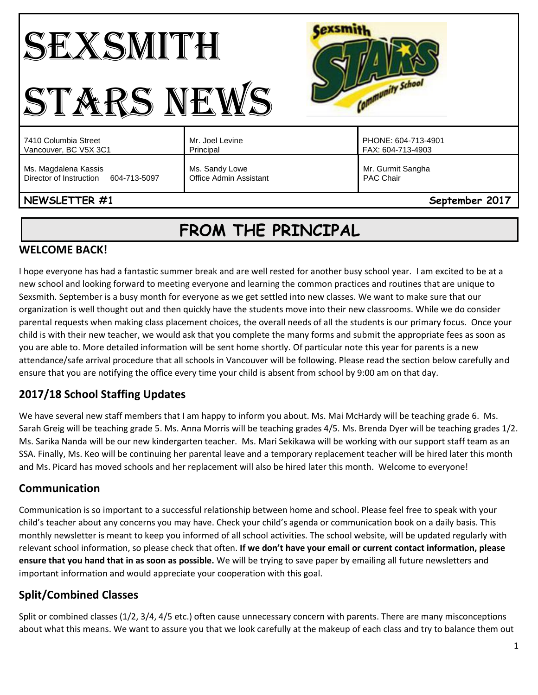#### **Cexsmith** SEXSMITH Community School STARS NEWS Mr. Joel Levine PHONE: 604-713-4901 7410 Columbia Street Vancouver, BC V5X 3C1 Principal FAX: 604-713-4903 Ms. Magdalena Kassis Ms. Sandy Lowe Mr. Gurmit Sangha Director of Instruction 604-713-5097 Office Admin Assistant PAC Chair

### **NEWSLETTER #1** September 2017

# **FROM THE PRINCIPAL**

#### **WELCOME BACK!**

I hope everyone has had a fantastic summer break and are well rested for another busy school year. I am excited to be at a new school and looking forward to meeting everyone and learning the common practices and routines that are unique to Sexsmith. September is a busy month for everyone as we get settled into new classes. We want to make sure that our organization is well thought out and then quickly have the students move into their new classrooms. While we do consider parental requests when making class placement choices, the overall needs of all the students is our primary focus. Once your child is with their new teacher, we would ask that you complete the many forms and submit the appropriate fees as soon as you are able to. More detailed information will be sent home shortly. Of particular note this year for parents is a new attendance/safe arrival procedure that all schools in Vancouver will be following. Please read the section below carefully and ensure that you are notifying the office every time your child is absent from school by 9:00 am on that day.

# **2017/18 School Staffing Updates**

We have several new staff members that I am happy to inform you about. Ms. Mai McHardy will be teaching grade 6. Ms. Sarah Greig will be teaching grade 5. Ms. Anna Morris will be teaching grades 4/5. Ms. Brenda Dyer will be teaching grades 1/2. Ms. Sarika Nanda will be our new kindergarten teacher. Ms. Mari Sekikawa will be working with our support staff team as an SSA. Finally, Ms. Keo will be continuing her parental leave and a temporary replacement teacher will be hired later this month and Ms. Picard has moved schools and her replacement will also be hired later this month. Welcome to everyone!

#### **Communication**

Communication is so important to a successful relationship between home and school. Please feel free to speak with your child's teacher about any concerns you may have. Check your child's agenda or communication book on a daily basis. This monthly newsletter is meant to keep you informed of all school activities. The school website, will be updated regularly with relevant school information, so please check that often. **If we don't have your email or current contact information, please ensure that you hand that in as soon as possible.** We will be trying to save paper by emailing all future newsletters and important information and would appreciate your cooperation with this goal.

# **Split/Combined Classes**

Split or combined classes (1/2, 3/4, 4/5 etc.) often cause unnecessary concern with parents. There are many misconceptions about what this means. We want to assure you that we look carefully at the makeup of each class and try to balance them out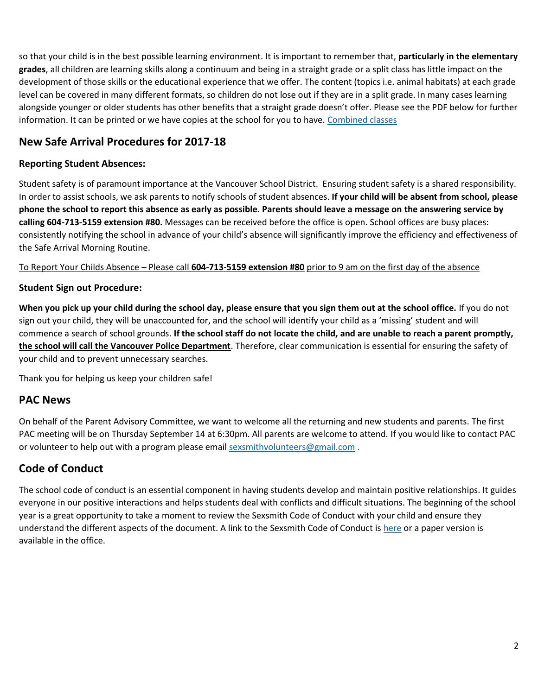so that your child is in the best possible learning environment. It is important to remember that, **particularly in the elementary grades**, all children are learning skills along a continuum and being in a straight grade or a split class has little impact on the development of those skills or the educational experience that we offer. The content (topics i.e. animal habitats) at each grade level can be covered in many different formats, so children do not lose out if they are in a split grade. In many cases learning alongside younger or older students has other benefits that a straight grade doesn't offer. Please see the PDF below for further information. It can be printed or we have copies at the school for you to have. [Combined classes](http://go.vsb.bc.ca/schools/sxs/Publications/Combined%20Classes%202010.pdf)

#### **New Safe Arrival Procedures for 2017-18**

#### **Reporting Student Absences:**

Student safety is of paramount importance at the Vancouver School District. Ensuring student safety is a shared responsibility. In order to assist schools, we ask parents to notify schools of student absences. **If your child will be absent from school, please phone the school to report this absence as early as possible. Parents should leave a message on the answering service by calling 604-713-5159 extension #80.** Messages can be received before the office is open. School offices are busy places: consistently notifying the school in advance of your child's absence will significantly improve the efficiency and effectiveness of the Safe Arrival Morning Routine.

To Report Your Childs Absence – Please call **604-713-5159 extension #80** prior to 9 am on the first day of the absence

#### **Student Sign out Procedure:**

**When you pick up your child during the school day, please ensure that you sign them out at the school office.** If you do not sign out your child, they will be unaccounted for, and the school will identify your child as a 'missing' student and will commence a search of school grounds. **If the school staff do not locate the child, and are unable to reach a parent promptly, the school will call the Vancouver Police Department**. Therefore, clear communication is essential for ensuring the safety of your child and to prevent unnecessary searches.

Thank you for helping us keep your children safe!

#### **PAC News**

On behalf of the Parent Advisory Committee, we want to welcome all the returning and new students and parents. The first PAC meeting will be on Thursday September 14 at 6:30pm. All parents are welcome to attend. If you would like to contact PAC or volunteer to help out with a program please emai[l sexsmithvolunteers@gmail.com](mailto:sexsmithvolunteers@gmail.com) .

#### **Code of Conduct**

The school code of conduct is an essential component in having students develop and maintain positive relationships. It guides everyone in our positive interactions and helps students deal with conflicts and difficult situations. The beginning of the school year is a great opportunity to take a moment to review the Sexsmith Code of Conduct with your child and ensure they understand the different aspects of the document. A link to the Sexsmith Code of Conduct is [here](http://go.vsb.bc.ca/schools/sxs/About/Documents/Code%20of%20Conduct.pdf) or a paper version is available in the office.